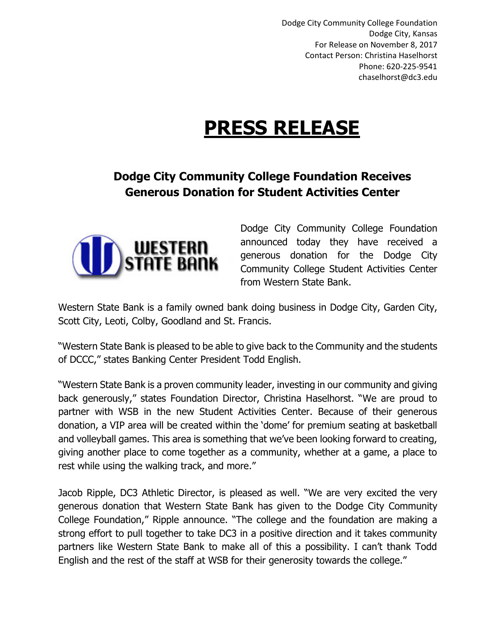Dodge City Community College Foundation Dodge City, Kansas For Release on November 8, 2017 Contact Person: Christina Haselhorst Phone: 620-225-9541 chaselhorst@dc3.edu

## **PRESS RELEASE**

## **Dodge City Community College Foundation Receives Generous Donation for Student Activities Center**



Dodge City Community College Foundation announced today they have received a generous donation for the Dodge City Community College Student Activities Center from Western State Bank.

Western State Bank is a family owned bank doing business in Dodge City, Garden City, Scott City, Leoti, Colby, Goodland and St. Francis.

"Western State Bank is pleased to be able to give back to the Community and the students of DCCC," states Banking Center President Todd English.

"Western State Bank is a proven community leader, investing in our community and giving back generously," states Foundation Director, Christina Haselhorst. "We are proud to partner with WSB in the new Student Activities Center. Because of their generous donation, a VIP area will be created within the 'dome' for premium seating at basketball and volleyball games. This area is something that we've been looking forward to creating, giving another place to come together as a community, whether at a game, a place to rest while using the walking track, and more."

Jacob Ripple, DC3 Athletic Director, is pleased as well. "We are very excited the very generous donation that Western State Bank has given to the Dodge City Community College Foundation," Ripple announce. "The college and the foundation are making a strong effort to pull together to take DC3 in a positive direction and it takes community partners like Western State Bank to make all of this a possibility. I can't thank Todd English and the rest of the staff at WSB for their generosity towards the college."